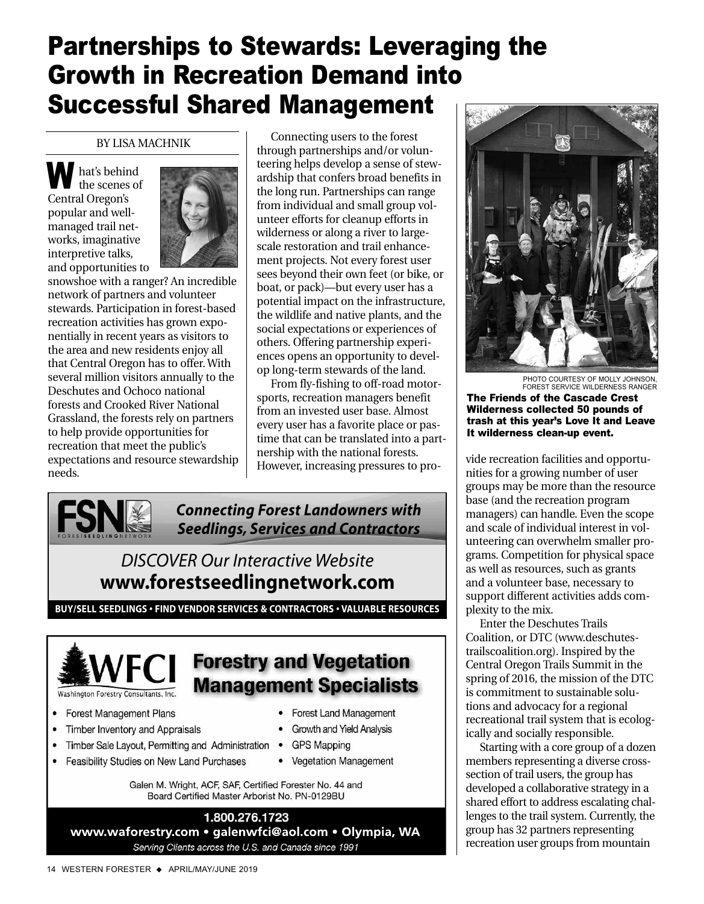## Partnerships to Stewards: Leveraging the Growth in Recreation Demand into Successful Shared Management

## BY LISA MACHNIK

**W** hat's behind<br>the scenes o the scenes of Central Oregon's popular and wellmanaged trail networks, imaginative interpretive talks, and opportunities to



snowshoe with a ranger? An incredible network of partners and volunteer stewards. Participation in forest-based recreation activities has grown exponentially in recent years as visitors to the area and new residents enjoy all that Central Oregon has to offer. With several million visitors annually to the Deschutes and Ochoco national forests and Crooked River National Grassland, the forests rely on partners to help provide opportunities for recreation that meet the public's expectations and resource stewardship needs.

Connecting users to the forest through partnerships and/or volunteering helps develop a sense of stewardship that confers broad benefits in the long run. Partnerships can range from individual and small group volunteer efforts for cleanup efforts in wilderness or along a river to largescale restoration and trail enhancement projects. Not every forest user sees beyond their own feet (or bike, or boat, or pack)—but every user has a potential impact on the infrastructure, the wildlife and native plants, and the social expectations or experiences of others. Offering partnership experiences opens an opportunity to develop long-term stewards of the land.

From fly-fishing to off-road motorsports, recreation managers benefit from an invested user base. Almost every user has a favorite place or pastime that can be translated into a partnership with the national forests. Hersing with the haddle rolests.<br>However, increasing pressures to pro-<br> $\begin{array}{c|c}\n\hline\n\end{array}$  vide recreation facilities and opportu-

**Forest Land Management** 

Growth and Yield Analysis

• Vegetation Management

**GPS Mapping** 



*Connecting Forest Landowners with Seedlings, Services and Contractors*

## *DISCOVER Our Interactive Website* **www.forestseedlingnetwork.com**

**BUY/SELL SEEDLINGS • FIND VENDOR SERVICES & CONTRACTORS • VALUABLE RESOURCES**



- **Forest Management Plans**
- Timber Inventory and Appraisals  $\bullet$
- Timber Sale Layout, Permitting and Administration .
- Feasibility Studies on New Land Purchases

Galen M. Wright, ACF, SAF, Certified Forester No. 44 and Board Certified Master Arborist No. PN-0129BU

1.800.276.1723 www.waforestry.com • galenwfci@aol.com • Olympia, WA Serving Clients across the U.S. and Canada since 1991



FOREST SERVICE WILDERNESS RANGER The Friends of the Cascade Crest Wilderness collected 50 pounds of trash at this year's Love It and Leave It wilderness clean-up event.

nities for a growing number of user groups may be more than the resource base (and the recreation program managers) can handle. Even the scope and scale of individual interest in volunteering can overwhelm smaller programs. Competition for physical space as well as resources, such as grants and a volunteer base, necessary to support different activities adds complexity to the mix.

Enter the Deschutes Trails Coalition, or DTC (www.deschutestrailscoalition.org). Inspired by the Central Oregon Trails Summit in the spring of 2016, the mission of the DTC is commitment to sustainable solutions and advocacy for a regional recreational trail system that is ecologically and socially responsible.

Starting with a core group of a dozen members representing a diverse crosssection of trail users, the group has developed a collaborative strategy in a shared effort to address escalating challenges to the trail system. Currently, the group has 32 partners representing recreation user groups from mountain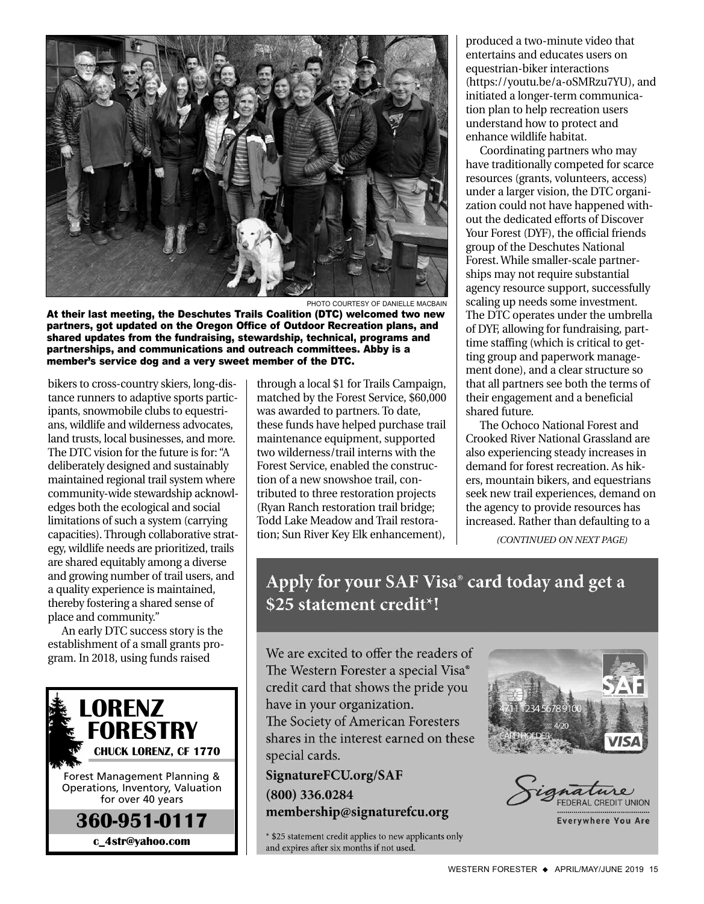

PHOTO COURTESY OF DANIELLE MACBAIN

At their last meeting, the Deschutes Trails Coalition (DTC) welcomed two new partners, got updated on the Oregon Office of Outdoor Recreation plans, and shared updates from the fundraising, stewardship, technical, programs and partnerships, and communications and outreach committees. Abby is a member's service dog and a very sweet member of the DTC.

bikers to cross-country skiers, long-distance runners to adaptive sports participants, snowmobile clubs to equestrians, wildlife and wilderness advocates, land trusts, local businesses, and more. The DTC vision for the future is for: "A deliberately designed and sustainably maintained regional trail system where community-wide stewardship acknowledges both the ecological and social limitations of such a system (carrying capacities). Through collaborative strategy, wildlife needs are prioritized, trails are shared equitably among a diverse and growing number of trail users, and a quality experience is maintained, thereby fostering a shared sense of place and community."

An early DTC success story is the establishment of a small grants program. In 2018, using funds raised



through a local \$1 for Trails Campaign, matched by the Forest Service, \$60,000 was awarded to partners. To date, these funds have helped purchase trail maintenance equipment, supported two wilderness/trail interns with the Forest Service, enabled the construction of a new snowshoe trail, contributed to three restoration projects (Ryan Ranch restoration trail bridge; Todd Lake Meadow and Trail restoration; Sun River Key Elk enhancement),

produced a two-minute video that entertains and educates users on equestrian-biker interactions (https://youtu.be/a-oSMRzu7YU), and initiated a longer-term communication plan to help recreation users understand how to protect and enhance wildlife habitat.

Coordinating partners who may have traditionally competed for scarce resources (grants, volunteers, access) under a larger vision, the DTC organization could not have happened without the dedicated efforts of Discover Your Forest (DYF), the official friends group of the Deschutes National Forest. While smaller-scale partnerships may not require substantial agency resource support, successfully scaling up needs some investment. The DTC operates under the umbrella of DYF, allowing for fundraising, parttime staffing (which is critical to getting group and paperwork management done), and a clear structure so that all partners see both the terms of their engagement and a beneficial shared future.

The Ochoco National Forest and Crooked River National Grassland are also experiencing steady increases in demand for forest recreation. As hikers, mountain bikers, and equestrians seek new trail experiences, demand on the agency to provide resources has increased. Rather than defaulting to a

*(CONTINUED ON NEXT PAGE)*

## Apply for your SAF Visa<sup>®</sup> card today and get a \$25 statement credit<sup>\*</sup>!

We are excited to offer the readers of The Western Forester a special Visa® credit card that shows the pride you have in your organization. The Society of American Foresters shares in the interest earned on these special cards.

SignatureFCU.org/SAF  $(800)$  336.0284 membership@signaturefcu.org

\* \$25 statement credit applies to new applicants only and expires after six months if not used.





**Everywhere You Are**